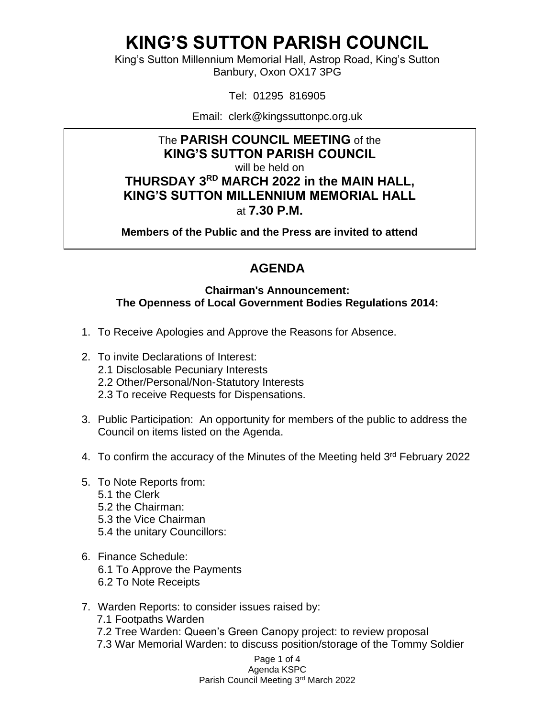King's Sutton Millennium Memorial Hall, Astrop Road, King's Sutton Banbury, Oxon OX17 3PG

Tel: 01295 816905

Email: clerk@kingssuttonpc.org.uk

#### The **PARISH COUNCIL MEETING** of the **KING'S SUTTON PARISH COUNCIL**

will be held on

**THURSDAY 3 RD MARCH 2022 in the MAIN HALL, KING'S SUTTON MILLENNIUM MEMORIAL HALL** at **7.30 P.M.** 

**Members of the Public and the Press are invited to attend** 

### **AGENDA**

#### **Chairman's Announcement: The Openness of Local Government Bodies Regulations 2014:**

- 1. To Receive Apologies and Approve the Reasons for Absence.
- 2. To invite Declarations of Interest:
	- 2.1 Disclosable Pecuniary Interests
	- 2.2 Other/Personal/Non-Statutory Interests
	- 2.3 To receive Requests for Dispensations.
- 3. Public Participation: An opportunity for members of the public to address the Council on items listed on the Agenda.
- 4. To confirm the accuracy of the Minutes of the Meeting held 3<sup>rd</sup> February 2022
- 5. To Note Reports from:
	- 5.1 the Clerk
	- 5.2 the Chairman:
	- 5.3 the Vice Chairman
	- 5.4 the unitary Councillors:
- 6. Finance Schedule: 6.1 To Approve the Payments 6.2 To Note Receipts
- 7. Warden Reports: to consider issues raised by:
	- 7.1 Footpaths Warden
	- 7.2 Tree Warden: Queen's Green Canopy project: to review proposal
	- 7.3 War Memorial Warden: to discuss position/storage of the Tommy Soldier

Page 1 of 4 Agenda KSPC Parish Council Meeting 3<sup>rd</sup> March 2022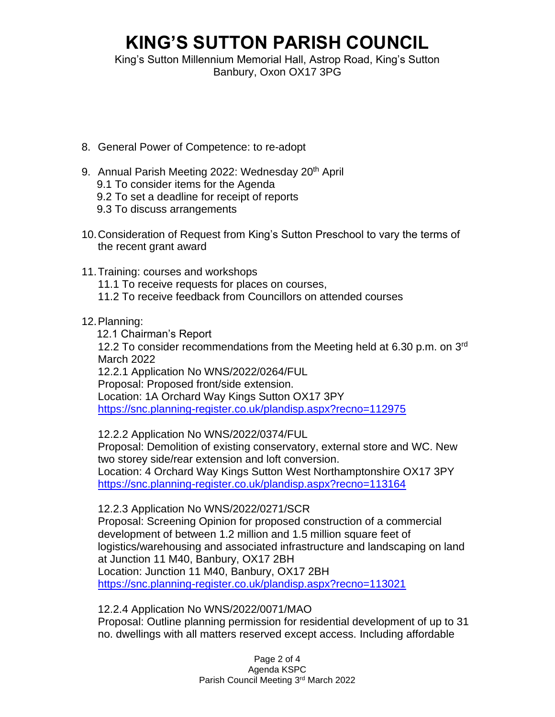King's Sutton Millennium Memorial Hall, Astrop Road, King's Sutton Banbury, Oxon OX17 3PG

- 8. General Power of Competence: to re-adopt
- 9. Annual Parish Meeting 2022: Wednesday 20<sup>th</sup> April 9.1 To consider items for the Agenda
	- 9.2 To set a deadline for receipt of reports
	- 9.3 To discuss arrangements
- 10.Consideration of Request from King's Sutton Preschool to vary the terms of the recent grant award
- 11.Training: courses and workshops
	- 11.1 To receive requests for places on courses,
	- 11.2 To receive feedback from Councillors on attended courses
- 12.Planning:
	- 12.1 Chairman's Report

12.2 To consider recommendations from the Meeting held at 6.30 p.m. on 3rd March 2022

12.2.1 Application No WNS/2022/0264/FUL

Proposal: Proposed front/side extension.

Location: 1A Orchard Way Kings Sutton OX17 3PY <https://snc.planning-register.co.uk/plandisp.aspx?recno=112975>

12.2.2 Application No WNS/2022/0374/FUL

Proposal: Demolition of existing conservatory, external store and WC. New two storey side/rear extension and loft conversion. Location: 4 Orchard Way Kings Sutton West Northamptonshire OX17 3PY <https://snc.planning-register.co.uk/plandisp.aspx?recno=113164>

12.2.3 Application No WNS/2022/0271/SCR

Proposal: Screening Opinion for proposed construction of a commercial development of between 1.2 million and 1.5 million square feet of logistics/warehousing and associated infrastructure and landscaping on land at Junction 11 M40, Banbury, OX17 2BH Location: Junction 11 M40, Banbury, OX17 2BH <https://snc.planning-register.co.uk/plandisp.aspx?recno=113021>

12.2.4 Application No WNS/2022/0071/MAO

Proposal: Outline planning permission for residential development of up to 31 no. dwellings with all matters reserved except access. Including affordable

> Page 2 of 4 Agenda KSPC Parish Council Meeting 3<sup>rd</sup> March 2022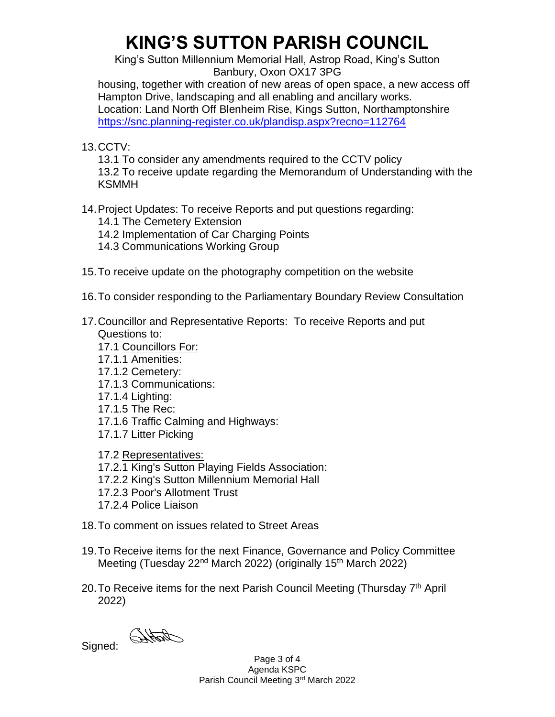King's Sutton Millennium Memorial Hall, Astrop Road, King's Sutton Banbury, Oxon OX17 3PG

housing, together with creation of new areas of open space, a new access off Hampton Drive, landscaping and all enabling and ancillary works. Location: Land North Off Blenheim Rise, Kings Sutton, Northamptonshire <https://snc.planning-register.co.uk/plandisp.aspx?recno=112764>

13.CCTV:

13.1 To consider any amendments required to the CCTV policy

13.2 To receive update regarding the Memorandum of Understanding with the KSMMH

#### 14.Project Updates: To receive Reports and put questions regarding:

- 14.1 The Cemetery Extension
- 14.2 Implementation of Car Charging Points
- 14.3 Communications Working Group
- 15.To receive update on the photography competition on the website
- 16.To consider responding to the Parliamentary Boundary Review Consultation
- 17.Councillor and Representative Reports: To receive Reports and put Questions to:
	- 17.1 Councillors For:
	- 17.1.1 Amenities:
	- 17.1.2 Cemetery:
	- 17.1.3 Communications:
	- 17.1.4 Lighting:
	- 17.1.5 The Rec:
	- 17.1.6 Traffic Calming and Highways:
	- 17.1.7 Litter Picking
	- 17.2 Representatives:
	- 17.2.1 King's Sutton Playing Fields Association:
	- 17.2.2 King's Sutton Millennium Memorial Hall
	- 17.2.3 Poor's Allotment Trust
	- 17.2.4 Police Liaison
- 18.To comment on issues related to Street Areas
- 19.To Receive items for the next Finance, Governance and Policy Committee Meeting (Tuesday 22<sup>nd</sup> March 2022) (originally 15<sup>th</sup> March 2022)
- 20. To Receive items for the next Parish Council Meeting (Thursday 7<sup>th</sup> April 2022)

Signed: